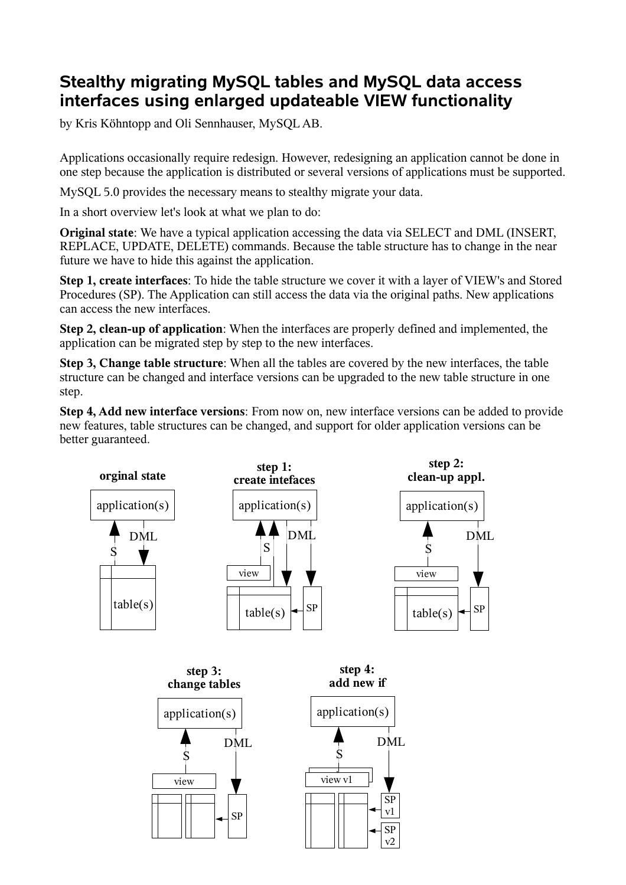# **Stealthy migrating MySQL tables and MySQL data access interfaces using enlarged updateable VIEW functionality**

by Kris Köhntopp and Oli Sennhauser, MySQL AB.

Applications occasionally require redesign. However, redesigning an application cannot be done in one step because the application is distributed or several versions of applications must be supported.

MySQL 5.0 provides the necessary means to stealthy migrate your data.

In a short overview let's look at what we plan to do:

**Original state**: We have a typical application accessing the data via SELECT and DML (INSERT, REPLACE, UPDATE, DELETE) commands. Because the table structure has to change in the near future we have to hide this against the application.

**Step 1, create interfaces**: To hide the table structure we cover it with a layer of VIEW's and Stored Procedures (SP). The Application can still access the data via the original paths. New applications can access the new interfaces.

**Step 2, clean-up of application**: When the interfaces are properly defined and implemented, the application can be migrated step by step to the new interfaces.

**Step 3, Change table structure**: When all the tables are covered by the new interfaces, the table structure can be changed and interface versions can be upgraded to the new table structure in one step.

**Step 4, Add new interface versions**: From now on, new interface versions can be added to provide new features, table structures can be changed, and support for older application versions can be better guaranteed.

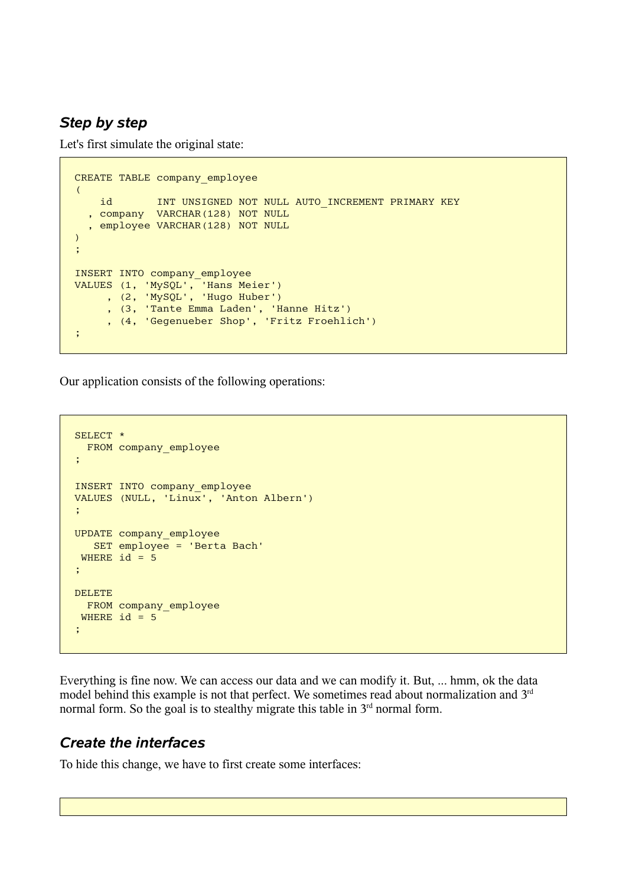### *Step by step*

Let's first simulate the original state:

```
CREATE TABLE company_employee
\left( id INT UNSIGNED NOT NULL AUTO_INCREMENT PRIMARY KEY
   , company VARCHAR(128) NOT NULL
   , employee VARCHAR(128) NOT NULL
)
;
INSERT INTO company_employee
VALUES (1, 'MySQL', 'Hans Meier')
 , (2, 'MySQL', 'Hugo Huber')
 , (3, 'Tante Emma Laden', 'Hanne Hitz')
 , (4, 'Gegenueber Shop', 'Fritz Froehlich')
;
```
Our application consists of the following operations:

```
SELECT *
  FROM company employee
;
INSERT INTO company_employee
VALUES (NULL, 'Linux', 'Anton Albern')
;
UPDATE company_employee
   SET employee = 'Berta Bach'
WHERE id = 5;
DELETE
 FROM company employee
 WHERE id = 5;
```
Everything is fine now. We can access our data and we can modify it. But, ... hmm, ok the data model behind this example is not that perfect. We sometimes read about normalization and 3<sup>rd</sup> normal form. So the goal is to stealthy migrate this table in  $3<sup>rd</sup>$  normal form.

### *Create the interfaces*

To hide this change, we have to first create some interfaces: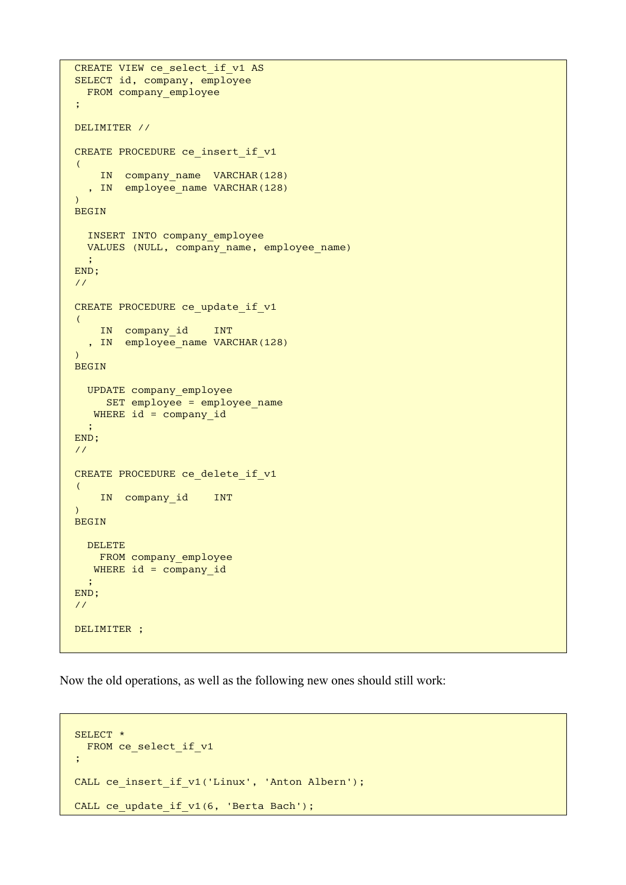```
CREATE VIEW ce_select_if_v1 AS
SELECT id, company, employee
  FROM company_employee
;
DELIMITER //
CREATE PROCEDURE ce insert if v1
\left(IN company name VARCHAR(128)
   , IN employee_name VARCHAR(128)
\lambdaBEGIN
   INSERT INTO company_employee
  VALUES (NULL, company name, employee name)
\ddot{\phantom{1}};
END;
//
CREATE PROCEDURE ce update if v1
\left( IN company_id INT
   , IN employee_name VARCHAR(128)
\lambdaBEGIN
   UPDATE company_employee
    SET employee = employee name
  WHERE id = company id
   ;
END;
//
CREATE PROCEDURE ce delete if v1
\left( IN company_id INT
)
BEGIN
  DELETE
   FROM company employee
  WHERE id = company id
   ;
END;
//
DELIMITER ;
```
Now the old operations, as well as the following new ones should still work:

```
SELECT *
 FROM ce select if v1
;
CALL ce insert if v1('Linux', 'Anton Albern');
CALL ce_update_if_v1(6, 'Berta Bach');
```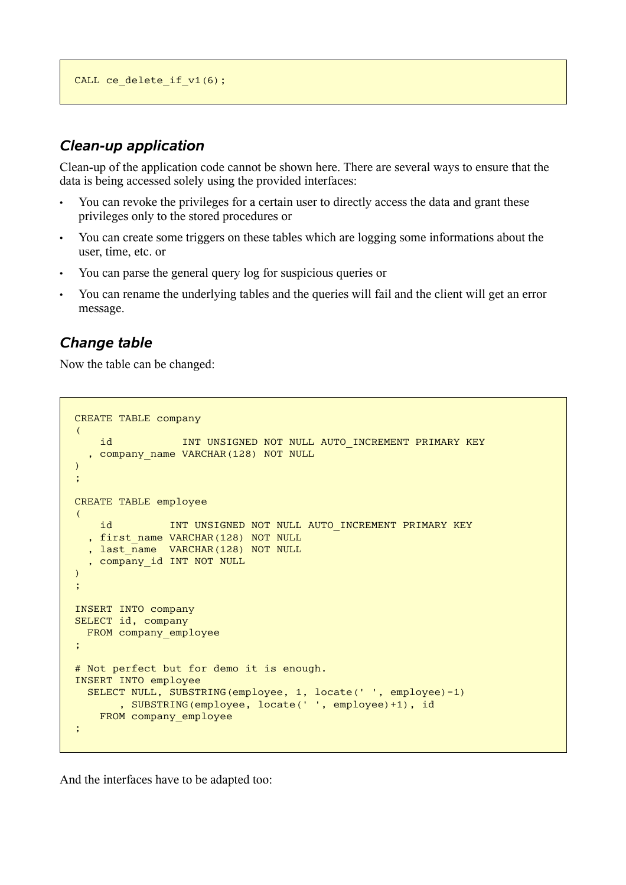```
CALL ce_delete_if_v1(6);
```
# *Clean-up application*

Clean-up of the application code cannot be shown here. There are several ways to ensure that the data is being accessed solely using the provided interfaces:

- You can revoke the privileges for a certain user to directly access the data and grant these privileges only to the stored procedures or
- You can create some triggers on these tables which are logging some informations about the user, time, etc. or
- You can parse the general query log for suspicious queries or
- You can rename the underlying tables and the queries will fail and the client will get an error message.

# *Change table*

Now the table can be changed:

```
CREATE TABLE company
\left(id INT UNSIGNED NOT NULL AUTO INCREMENT PRIMARY KEY
  , company name VARCHAR(128) NOT NULL
)
;
CREATE TABLE employee
\left(id INT UNSIGNED NOT NULL AUTO INCREMENT PRIMARY KEY
   , first_name VARCHAR(128) NOT NULL
  , last name VARCHAR(128) NOT NULL
  , company id INT NOT NULL
\lambda;
INSERT INTO company
SELECT id, company
  FROM company employee
;
# Not perfect but for demo it is enough.
INSERT INTO employee
   SELECT NULL, SUBSTRING(employee, 1, locate(' ', employee)-1)
        , SUBSTRING(employee, locate(' ', employee)+1), id
    FROM company employee
;
```
And the interfaces have to be adapted too: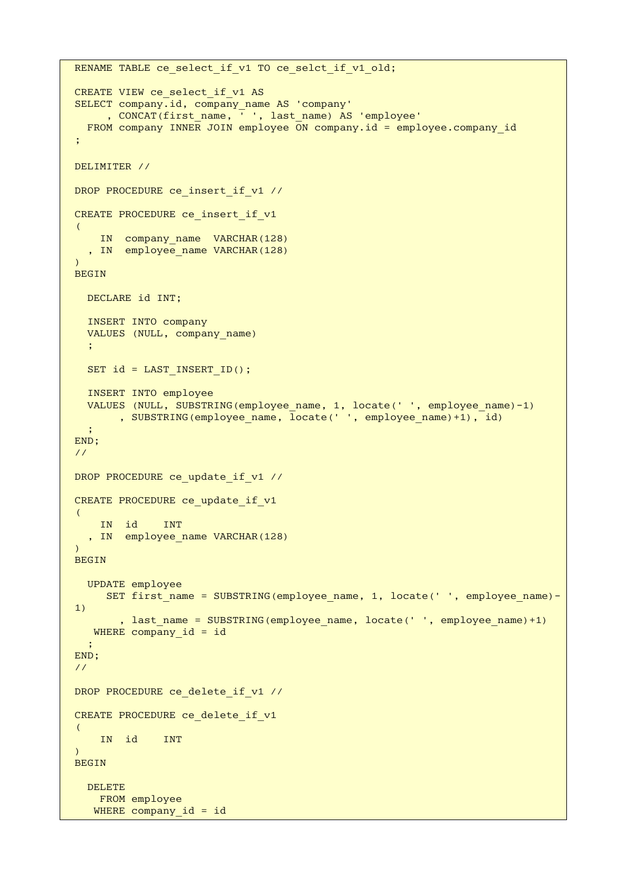```
RENAME TABLE ce select if v1 TO ce selct if v1 old;
CREATE VIEW ce_select_if_v1 AS
SELECT company.id, company_name AS 'company'
     , CONCAT(first name, \overline{ }', last name) AS 'employee'
  FROM company INNER JOIN employee \overline{ON} company.id = employee.company id
;
DELIMITER //
DROP PROCEDURE ce insert if v1 //
CREATE PROCEDURE ce insert if v1
(
    IN company name VARCHAR(128)
  , IN employee name VARCHAR(128)
\lambdaBEGIN
   DECLARE id INT;
   INSERT INTO company
  VALUES (NULL, company name)
\cdot ;
  SET id = LAST INSERT ID();
   INSERT INTO employee
  VALUES (NULL, SUBSTRING(employee name, 1, locate(' ', employee name)-1)
       , SUBSTRING(employee name, locate(' ', employee name)+1), id)
\cdot ;
END;
//
DROP PROCEDURE ce update if v1 //
CREATE PROCEDURE ce update if v1
\left( IN id INT
  , IN employee name VARCHAR(128)
\lambdaBEGIN
   UPDATE employee
     SET first name = SUBSTRING(employee name, 1, locate(' ', employee name)-
1)
        , last name = SUBSTRING(employee name, locate(' ', employee name)+1)
    WHERE company_id = id
   ;
END;
//
DROP PROCEDURE ce delete if v1 //
CREATE PROCEDURE ce delete if v1
\left( IN id INT
\sumBEGIN
   DELETE
     FROM employee
   WHERE company id = id
```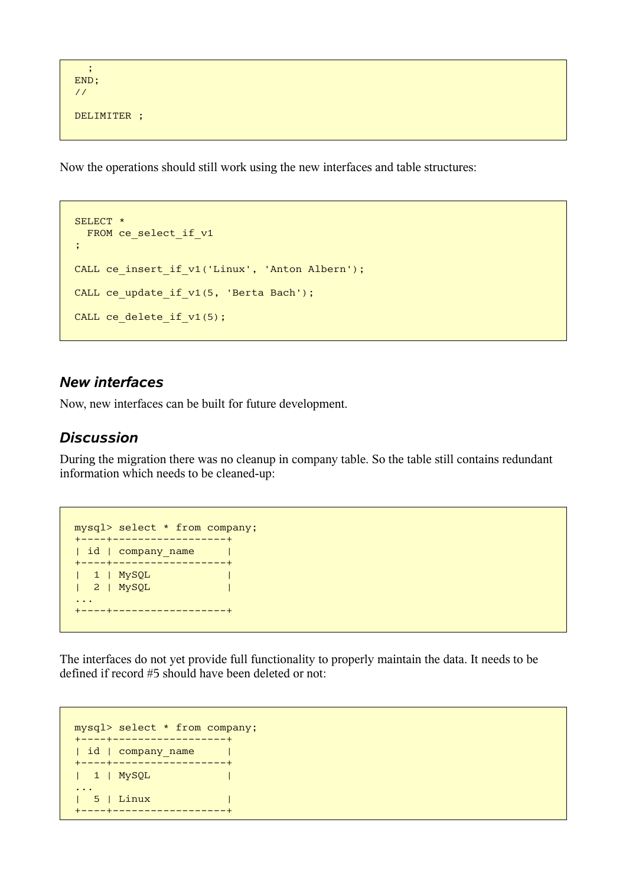```
\ddot{\phantom{1}};
END;
//
DELIMITER ;
```
Now the operations should still work using the new interfaces and table structures:

```
SELECT *
 FROM ce_select_if v1
;
CALL ce insert if v1('Linux', 'Anton Albern');
CALL ce update if v1(5, 'Berta Bach');
CALL ce delete if v1(5);
```
#### *New interfaces*

Now, new interfaces can be built for future development.

#### *Discussion*

During the migration there was no cleanup in company table. So the table still contains redundant information which needs to be cleaned-up:

```
mysql> select * from company;
+----+------------------+
| id | company name |
+----+------------------+
| 1 | MySQL |
| 2 | MySQL |
...
+----+------------------+
```
The interfaces do not yet provide full functionality to properly maintain the data. It needs to be defined if record #5 should have been deleted or not:

```
mysql> select * from company;
+----+------------------+
| id | company_name |
+----+------------------+
| 1 | MySQL |
...
| 5 | Linux |
+----+------------------+
```